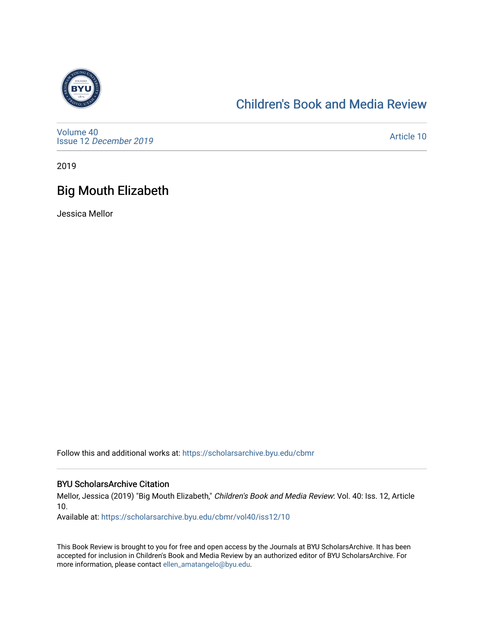

### [Children's Book and Media Review](https://scholarsarchive.byu.edu/cbmr)

[Volume 40](https://scholarsarchive.byu.edu/cbmr/vol40) Issue 12 [December 2019](https://scholarsarchive.byu.edu/cbmr/vol40/iss12)

[Article 10](https://scholarsarchive.byu.edu/cbmr/vol40/iss12/10) 

2019

# Big Mouth Elizabeth

Jessica Mellor

Follow this and additional works at: [https://scholarsarchive.byu.edu/cbmr](https://scholarsarchive.byu.edu/cbmr?utm_source=scholarsarchive.byu.edu%2Fcbmr%2Fvol40%2Fiss12%2F10&utm_medium=PDF&utm_campaign=PDFCoverPages) 

#### BYU ScholarsArchive Citation

Mellor, Jessica (2019) "Big Mouth Elizabeth," Children's Book and Media Review: Vol. 40: Iss. 12, Article 10.

Available at: [https://scholarsarchive.byu.edu/cbmr/vol40/iss12/10](https://scholarsarchive.byu.edu/cbmr/vol40/iss12/10?utm_source=scholarsarchive.byu.edu%2Fcbmr%2Fvol40%2Fiss12%2F10&utm_medium=PDF&utm_campaign=PDFCoverPages) 

This Book Review is brought to you for free and open access by the Journals at BYU ScholarsArchive. It has been accepted for inclusion in Children's Book and Media Review by an authorized editor of BYU ScholarsArchive. For more information, please contact [ellen\\_amatangelo@byu.edu.](mailto:ellen_amatangelo@byu.edu)